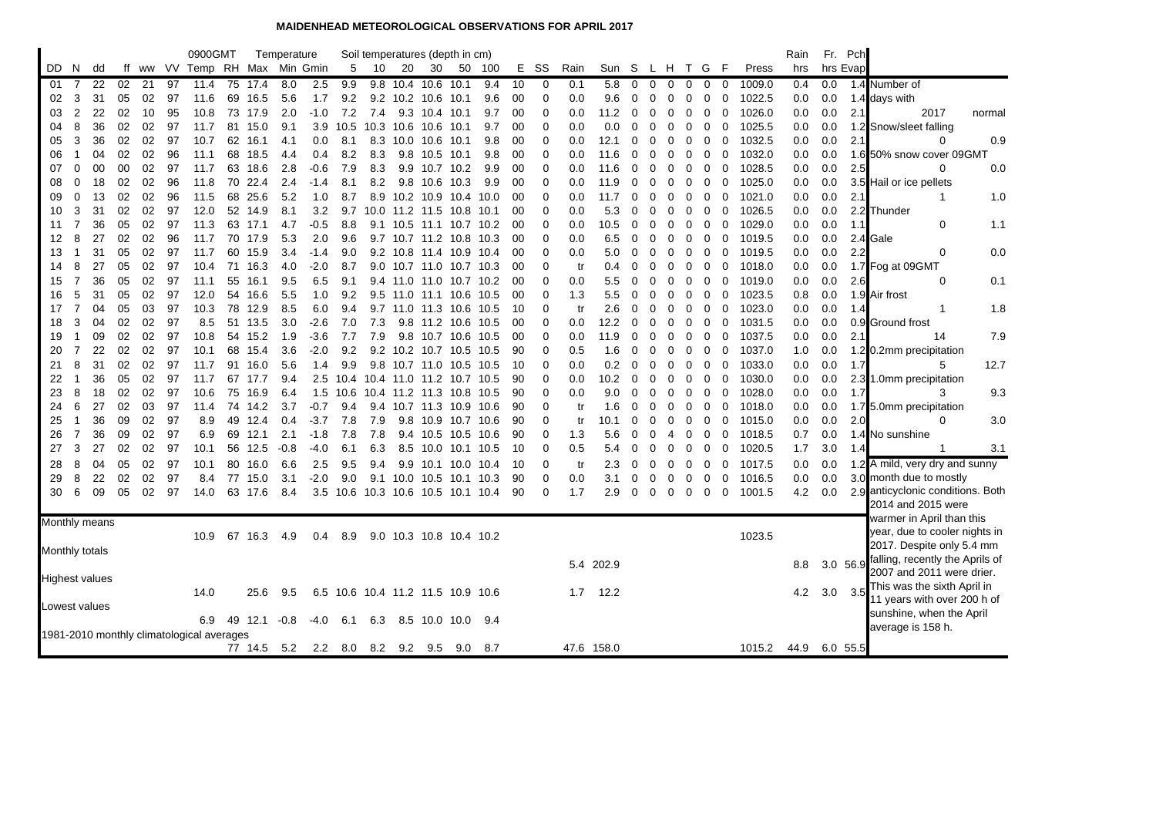## **MAIDENHEAD METEOROLOGICAL OBSERVATIONS FOR APRIL 2017**

|                       |          |          |          |          |          | 0900GMT                                   |    |                    | Temperature |            |                                   |                |      | Soil temperatures (depth in cm)               |           |        |          |               |           |            |        |          |        |             |             |             |                  | Rain       |            | Fr. Pch        |                                   |        |
|-----------------------|----------|----------|----------|----------|----------|-------------------------------------------|----|--------------------|-------------|------------|-----------------------------------|----------------|------|-----------------------------------------------|-----------|--------|----------|---------------|-----------|------------|--------|----------|--------|-------------|-------------|-------------|------------------|------------|------------|----------------|-----------------------------------|--------|
| DD.                   | -N       | dd       |          |          |          | ff ww VV Temp RH Max Min Gmin             |    |                    |             |            | 5                                 | 10             | 20   | 30                                            |           | 50 100 | Е.       | - SS          | Rain      | Sun S      |        | L H      |        |             | T G F       |             | Press            | hrs        | hrs Evap   |                |                                   |        |
| 01                    | 7        | 22       | 02       | 21       | 97       | 11.4                                      |    | 75 17.4            | 8.0         | 2.5        | 9.9                               |                |      | 9.8 10.4 10.6 10.1                            |           | 9.4    | 10       | 0             | 0.1       | 5.8        | 0      | 0        | 0      | 0           | $\mathbf 0$ | 0           | 1009.0           | 0.4        | 0.0        |                | 1.4 Number of                     |        |
| 02                    | 3        | 31       | 05       | 02       | 97       | 11.6                                      | 69 | 16.5               | 5.6         | 1.7        | 9.2                               |                |      | 9.2 10.2 10.6 10.1                            |           | 9.6    | 00       | 0             | 0.0       | 9.6        | 0      | 0        | 0      | 0           | 0           | 0           | 1022.5           | 0.0        | 0.0        |                | 1.4 days with                     |        |
| 03                    | 2        | 22       | 02       | 10       | 95       | 10.8                                      |    | 73 17.9            | 2.0         | $-1.0$     | 7.2                               | 7.4            |      | 9.3 10.4 10.1                                 |           | 9.7    | 00       | $\Omega$      | 0.0       | 11.2       | 0      | 0        | 0      | 0           | 0           | 0           | 1026.0           | 0.0        | 0.0        | 2.1            | 2017                              | normal |
| 04                    | 8        | 36       | 02       | 02       | 97       | 11.7                                      | 81 | 15.0               | 9.1         | 3.9        | 10.5                              | 10.3           | 10.6 | 10.6                                          | 10.1      | 9.7    | 00       | 0             | 0.0       | 0.0        | 0      | 0        | 0      | 0           | 0           | 0           | 1025.5           | 0.0        | 0.0        |                | 1.2 Snow/sleet falling            |        |
| 05                    | 3        | 36       | 02       | 02       | 97       | 10.7                                      | 62 | 16.1               | 4.1         | 0.0        | 8.1                               | 8.3            | 10.0 | 10.6                                          | 10.1      | 9.8    | 00       | 0             | 0.0       | 12.1       | 0      | 0        | 0      | 0           | 0           | 0           | 1032.5           | 0.0        | 0.0        | 2.1            | 0                                 | 0.9    |
| 06                    | -1       | 04       | 02       | 02       | 96       | 11.1                                      | 68 | 18.5               | 4.4         | 0.4        | 8.2                               | 8.3            |      | 9.8 10.5 10.1                                 |           | 9.8    | 00       | $\Omega$      | 0.0       | 11.6       | 0      | $\Omega$ | 0      | 0           | 0           | 0           | 1032.0           | 0.0        | 0.0        |                | 1.6 50% snow cover 09GMT          |        |
| 07                    | 0        | 00       | 00       | 02       | 97       | 11.7                                      |    | 63 18.6            | 2.8         | $-0.6$     | 7.9                               | 8.3            |      | 9.9 10.7 10.2                                 |           | 9.9    | 00       | $\Omega$      | 0.0       | 11.6       | 0      | 0        | 0      | 0           | 0           | 0           | 1028.5           | 0.0        | 0.0        | 2.5            | $\Omega$                          | 0.0    |
| 08                    | 0        | 18       | 02       | 02       | 96       | 11.8                                      | 70 | 22.4               | 2.4         | $-1.4$     | 8.1                               | 8.2            | 9.8  | 10.6 10.3                                     |           | 9.9    | 00       | 0             | 0.0       | 11.9       | 0      | 0        | 0      | 0           | 0           | 0           | 1025.0           | 0.0        | 0.0        |                | 3.5 Hail or ice pellets           |        |
| 09                    | $\Omega$ | 13       | 02       | 02       | 96       | 11.5                                      | 68 | 25.6               | 5.2         | 1.0        | 8.7                               | 8.9            |      | 10.2 10.9                                     | 10.4 10.0 |        | 00       | 0             | 0.0       | 11.7       | 0      | $\Omega$ | 0      | 0           | 0           | 0           | 1021.0           | 0.0        | 0.0        | 2.1            | 1                                 | 1.0    |
| 10                    | 3        | 31       | 02       | 02       | 97       | 12.0                                      |    | 52 14.9            | 8.1         | 3.2        | 9.7                               |                |      | 10.0 11.2 11.5 10.8 10.1                      |           |        | 00       | $\Omega$      | 0.0       | 5.3        | 0      | $\Omega$ | 0      | 0           | 0           | 0           | 1026.5           | 0.0        | 0.0        |                | 2.2 Thunder                       |        |
| 11                    | 7        | 36       | 05       | 02       | 97       | 11.3                                      |    | 63 17.1            | 4.7         | -0.5       | 8.8                               |                |      | 9.1 10.5 11.1 10.7 10.2                       |           |        | 00       | 0             | 0.0       | 10.5       | 0      | $\Omega$ | 0      | 0           | 0           | 0           | 1029.0           | 0.0        | 0.0        | 1.1            | $\mathbf 0$                       | 1.1    |
| 12                    | 8        | 27       | 02       | 02       | 96       | 11.7                                      | 70 | 17.9               | 5.3         | 2.0        | 9.6                               | 9.7            |      | 10.7 11.2 10.8                                |           | 10.3   | 00       | 0             | 0.0       | 6.5        | 0      | 0        | 0      | 0           | 0           | 0           | 1019.5           | 0.0        | 0.0        |                | 2.4 Gale                          |        |
| 13                    |          | 31       | 05       | 02       | 97       | 11.7                                      |    | 60 15.9            | 3.4         | $-1.4$     | 9.0                               |                |      | 9.2 10.8 11.4 10.9 10.4                       |           |        | 00       | $\Omega$      | 0.0       | 5.0        | 0      | $\Omega$ | 0      | 0           | 0           | $\mathbf 0$ | 1019.5           | 0.0        | 0.0        | 2.2            | $\Omega$                          | 0.0    |
| 14                    | 8        | 27       | 05       | 02       | 97       | 10.4                                      |    | 71 16.3            | 4.0         | $-2.0$     | 8.7                               |                |      | 9.0 10.7 11.0 10.7 10.3                       |           |        | 00       | $\Omega$      | tr        | 0.4        | 0      | 0        | 0      | 0           | 0           | $\mathbf 0$ | 1018.0           | 0.0        | 0.0        |                | 1.7 Fog at 09GMT                  |        |
| 15                    | 7        | 36<br>31 | 05       | 02<br>02 | 97<br>97 | 11.1                                      | 55 | 16.1               | 9.5         | 6.5        | 9.1                               |                |      | 9.4 11.0 11.0 10.7 10.2                       |           |        | 00       | $\Omega$      | 0.0       | 5.5        | 0      | 0        | 0      | 0           | 0           | 0           | 1019.0           | 0.0        | 0.0        | 2.6            | 0                                 | 0.1    |
| 16<br>17              | 5<br>7   | 04       | 05<br>05 | 03       | 97       | 12.0<br>10.3                              |    | 54 16.6<br>78 12.9 | 5.5<br>8.5  | 1.0<br>6.0 | 9.2<br>9.4                        |                |      | 9.5 11.0 11.1 10.6<br>9.7 11.0 11.3 10.6 10.5 |           | 10.5   | 00<br>10 | 0<br>$\Omega$ | 1.3<br>tr | 5.5<br>2.6 | 0<br>0 | 0<br>0   | 0<br>0 | 0<br>0      | 0<br>0      | 0<br>0      | 1023.5<br>1023.0 | 0.8<br>0.0 | 0.0<br>0.0 | 1.4            | 1.9 Air frost<br>1                | 1.8    |
| 18                    | 3        | 04       | 02       | 02       | 97       | 8.5                                       | 51 | 13.5               | 3.0         | $-2.6$     | 7.0                               | 7.3            |      | 9.8 11.2 10.6                                 |           | 10.5   | 00       | 0             | 0.0       | 12.2       | 0      | 0        | 0      | 0           | 0           | 0           | 1031.5           | 0.0        | 0.0        |                | 0.9 Ground frost                  |        |
| 19                    |          | 09       | 02       | 02       | 97       | 10.8                                      |    | 54 15.2            | 1.9         | $-3.6$     | 7.7                               | 7.9            | 9.8  | 10.7 10.6                                     |           | 10.5   | 00       | 0             | 0.0       | 11.9       | 0      | 0        | 0      | 0           | 0           | 0           | 1037.5           | 0.0        | 0.0        | 2.1            | 14                                | 7.9    |
| -20                   | 7        | 22       | 02       | 02       | 97       | 10.1                                      |    | 68 15.4            | 3.6         | $-2.0$     | 9.2                               |                |      | 9.2 10.2 10.7 10.5                            |           | 10.5   | 90       | 0             | 0.5       | 1.6        | 0      | 0        | 0      | 0           | 0           | 0           | 1037.0           | 1.0        | 0.0        |                | 1.2 0.2mm precipitation           |        |
| 21                    | 8        | 31       | 02       | 02       | 97       | 11.7                                      |    | 91 16.0            | 5.6         | 1.4        | 9.9                               |                |      | 9.8 10.7 11.0 10.5 10.5                       |           |        | 10       | $\mathbf 0$   | 0.0       | 0.2        | 0      | 0        | 0      | 0           | 0           | 0           | 1033.0           | 0.0        | 0.0        | 1.7            | 5                                 | 12.7   |
| 22                    |          | 36       | 05       | 02       | 97       | 11.7                                      |    | 67 17.7            | 9.4         | 2.5        |                                   |                |      | 10.4 10.4 11.0 11.2 10.7 10.5                 |           |        | 90       | 0             | 0.0       | 10.2       | 0      | 0        | 0      | 0           | 0           | 0           | 1030.0           | 0.0        | 0.0        |                | 2.3 1.0mm precipitation           |        |
| 23                    | 8        | 18       | 02       | 02       | 97       | 10.6                                      | 75 | 16.9               | 6.4         | 1.5        | 10.6                              | 10.4 11.2 11.3 |      |                                               | 10.8      | 10.5   | 90       | $\Omega$      | 0.0       | 9.0        | 0      | 0        | 0      | 0           | 0           | 0           | 1028.0           | 0.0        | 0.0        | 1.7            | 3                                 | 9.3    |
| 24                    | 6        | 27       | 02       | 03       | 97       | 11.4                                      |    | 74 14.2            | 3.7         | $-0.7$     | 9.4                               | 9.4            |      | 10.7 11.3 10.9 10.6                           |           |        | 90       | $\Omega$      | tr        | 1.6        | 0      | $\Omega$ | 0      | 0           | 0           | $\mathbf 0$ | 1018.0           | 0.0        | 0.0        |                | 1.7 5.0mm precipitation           |        |
| 25                    | -1       | 36       | 09       | 02       | 97       | 8.9                                       |    | 49 12.4            | 0.4         | $-3.7$     | 7.8                               | 7.9            |      | 9.8 10.9 10.7 10.6                            |           |        | 90       | $\Omega$      | tr        | 10.1       | 0      | 0        | 0      | 0           | 0           | 0           | 1015.0           | 0.0        | 0.0        | 2.0            | 0                                 | 3.0    |
| 26                    | 7        | 36       | 09       | 02       | 97       | 6.9                                       | 69 | 12.1               | 2.1         | $-1.8$     | 7.8                               | 7.8            |      | 9.4 10.5 10.5                                 |           | 10.6   | 90       | 0             | 1.3       | 5.6        | 0      | $\Omega$ | 4      | 0           | 0           | 0           | 1018.5           | 0.7        | 0.0        |                | 1.4 No sunshine                   |        |
| 27                    | 3        | 27       | 02       | 02       | 97       | 10.1                                      | 56 | 12.5               | $-0.8$      | $-4.0$     | 6.1                               | 6.3            |      | 8.5 10.0                                      | 10.1      | 10.5   | 10       | 0             | 0.5       | 5.4        | 0      | $\Omega$ | 0      | 0           | 0           | 0           | 1020.5           | 1.7        | 3.0        | 1.4            | -1                                | 3.1    |
| 28                    | 8        | 04       | 05       | 02       | 97       | 10.1                                      |    | 80 16.0            | 6.6         | 2.5        | 9.5                               | 9.4            |      | 9.9 10.1 10.0 10.4                            |           |        | 10       | 0             | tr        | 2.3        | 0      | 0        | 0      | 0           | 0           | 0           | 1017.5           | 0.0        | 0.0        |                | 1.2 A mild, very dry and sunny    |        |
| 29                    | 8        | 22       | 02       | 02       | 97       | 8.4                                       |    | 77 15.0            | 3.1         | $-2.0$     | 9.0                               |                |      | 9.1 10.0 10.5 10.1 10.3                       |           |        | 90       | $\Omega$      | 0.0       | 3.1        | 0      | 0        | 0      | $\mathbf 0$ | 0           | 0           | 1016.5           | 0.0        | 0.0        |                | 3.0 month due to mostly           |        |
| 30                    | 6        | 09       | 05       | 02       | 97       | 14.0                                      |    | 63 17.6            | 8.4         | 3.5        | 10.6 10.3 10.6 10.5 10.1 10.4     |                |      |                                               |           |        | 90       | 0             | 1.7       | 2.9        | 0      | 0        | 0      | 0           | 0           | $\mathbf 0$ | 1001.5           | 4.2        | 0.0        |                | 2.9 anticyclonic conditions. Both |        |
|                       |          |          |          |          |          |                                           |    |                    |             |            |                                   |                |      |                                               |           |        |          |               |           |            |        |          |        |             |             |             |                  |            |            |                | 2014 and 2015 were                |        |
| Monthly means         |          |          |          |          |          |                                           |    |                    |             |            |                                   |                |      |                                               |           |        |          |               |           |            |        |          |        |             |             |             |                  |            |            |                | warmer in April than this         |        |
|                       |          |          |          |          |          | 10.9                                      |    | 67 16.3            | 4.9         | 0.4        | 8.9                               |                |      | 9.0 10.3 10.8 10.4 10.2                       |           |        |          |               |           |            |        |          |        |             |             |             | 1023.5           |            |            |                | year, due to cooler nights in     |        |
| Monthly totals        |          |          |          |          |          |                                           |    |                    |             |            |                                   |                |      |                                               |           |        |          |               |           |            |        |          |        |             |             |             |                  |            |            |                | 2017. Despite only 5.4 mm         |        |
|                       |          |          |          |          |          |                                           |    |                    |             |            |                                   |                |      |                                               |           |        |          |               |           | 5.4 202.9  |        |          |        |             |             |             |                  | 8.8        |            | 3.0 56.9       | falling, recently the Aprils of   |        |
| <b>Highest values</b> |          |          |          |          |          |                                           |    |                    |             |            |                                   |                |      |                                               |           |        |          |               |           |            |        |          |        |             |             |             |                  |            |            |                | 2007 and 2011 were drier.         |        |
|                       |          |          |          |          |          | 14.0                                      |    | 25.6               | 9.5         |            | 6.5 10.6 10.4 11.2 11.5 10.9 10.6 |                |      |                                               |           |        |          |               | 1.7       | 12.2       |        |          |        |             |             |             |                  | 4.2        |            | $3.0\quad 3.5$ | This was the sixth April in       |        |
| Lowest values         |          |          |          |          |          |                                           |    |                    |             |            |                                   |                |      |                                               |           |        |          |               |           |            |        |          |        |             |             |             |                  |            |            |                | 11 years with over 200 h of       |        |
|                       |          |          |          |          |          | 6.9                                       |    | 49 12.1            | -0.8        | $-4.0$     | 6.1                               | 6.3            |      | 8.5 10.0 10.0                                 |           | 9.4    |          |               |           |            |        |          |        |             |             |             |                  |            |            |                | sunshine, when the April          |        |
|                       |          |          |          |          |          | 1981-2010 monthly climatological averages |    |                    |             |            |                                   |                |      |                                               |           |        |          |               |           |            |        |          |        |             |             |             |                  |            |            |                | average is 158 h.                 |        |
|                       |          |          |          |          |          |                                           |    | 77 14.5            | 5.2         | 2.2        | 8.0                               | 8.2            |      | $9.2\quad 9.5$                                | 9.0       | 8.7    |          |               |           | 47.6 158.0 |        |          |        |             |             |             | 1015.2           | 44.9       |            | 6.0 55.5       |                                   |        |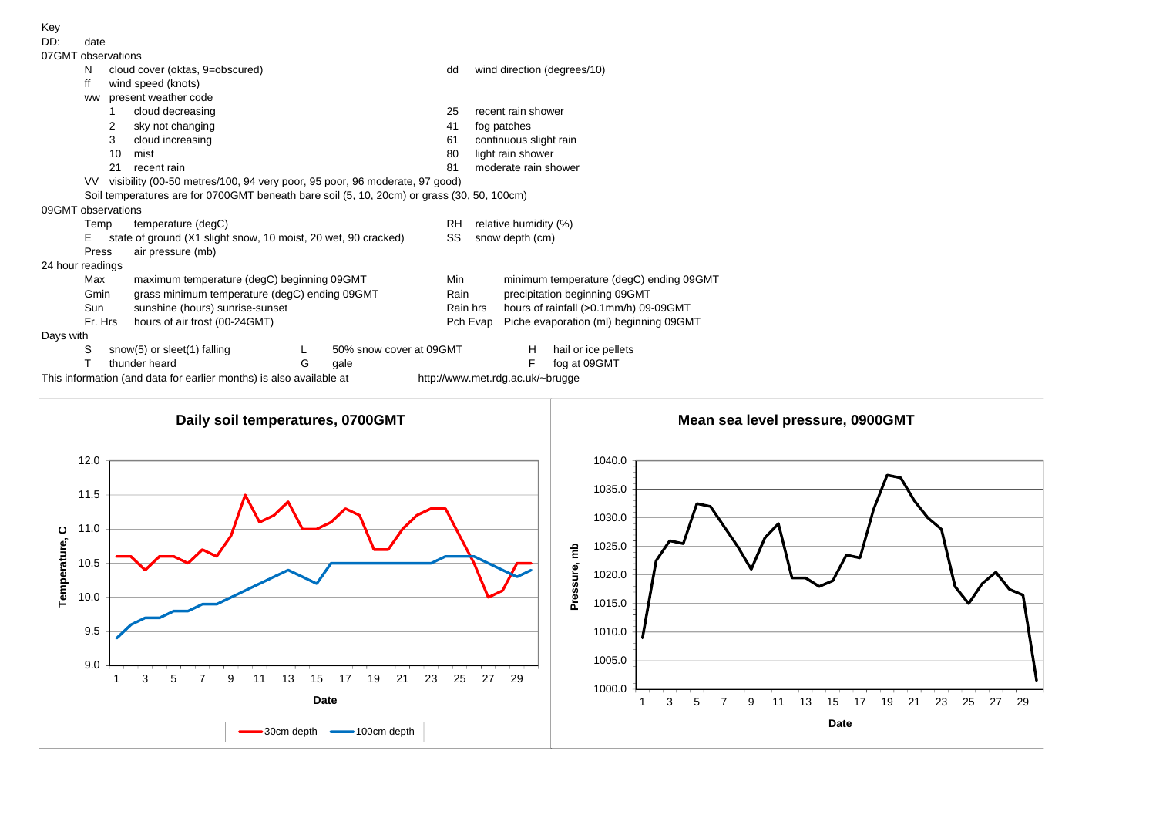| Key                |                                                                                            |    |                                                                                                                                  |   |                         |     |                                       |                                         |                     |  |  |  |  |  |  |
|--------------------|--------------------------------------------------------------------------------------------|----|----------------------------------------------------------------------------------------------------------------------------------|---|-------------------------|-----|---------------------------------------|-----------------------------------------|---------------------|--|--|--|--|--|--|
| DD:                | date                                                                                       |    |                                                                                                                                  |   |                         |     |                                       |                                         |                     |  |  |  |  |  |  |
|                    | 07GMT observations                                                                         |    |                                                                                                                                  |   |                         |     |                                       |                                         |                     |  |  |  |  |  |  |
|                    | N                                                                                          |    | cloud cover (oktas, 9=obscured)                                                                                                  |   |                         | dd  | wind direction (degrees/10)           |                                         |                     |  |  |  |  |  |  |
|                    | ff                                                                                         |    | wind speed (knots)                                                                                                               |   |                         |     |                                       |                                         |                     |  |  |  |  |  |  |
|                    | <b>WW</b>                                                                                  |    | present weather code                                                                                                             |   |                         |     |                                       |                                         |                     |  |  |  |  |  |  |
|                    |                                                                                            |    | cloud decreasing                                                                                                                 |   |                         | 25  |                                       | recent rain shower                      |                     |  |  |  |  |  |  |
|                    | sky not changing<br>2                                                                      |    |                                                                                                                                  |   |                         |     |                                       | fog patches                             |                     |  |  |  |  |  |  |
|                    |                                                                                            | 3  | cloud increasing                                                                                                                 |   |                         | 61  | continuous slight rain                |                                         |                     |  |  |  |  |  |  |
|                    |                                                                                            | 10 | mist                                                                                                                             |   |                         | 80  | light rain shower                     |                                         |                     |  |  |  |  |  |  |
|                    |                                                                                            | 21 | recent rain                                                                                                                      |   |                         | 81  | moderate rain shower                  |                                         |                     |  |  |  |  |  |  |
|                    | visibility (00-50 metres/100, 94 very poor, 95 poor, 96 moderate, 97 good)<br>VV.          |    |                                                                                                                                  |   |                         |     |                                       |                                         |                     |  |  |  |  |  |  |
|                    | Soil temperatures are for 0700GMT beneath bare soil (5, 10, 20cm) or grass (30, 50, 100cm) |    |                                                                                                                                  |   |                         |     |                                       |                                         |                     |  |  |  |  |  |  |
| 09GMT observations |                                                                                            |    |                                                                                                                                  |   |                         |     |                                       |                                         |                     |  |  |  |  |  |  |
|                    | Temp                                                                                       |    | temperature (degC)                                                                                                               |   |                         | RH  | relative humidity (%)                 |                                         |                     |  |  |  |  |  |  |
|                    | Е                                                                                          |    | state of ground (X1 slight snow, 10 moist, 20 wet, 90 cracked)                                                                   |   |                         | SS  | snow depth (cm)                       |                                         |                     |  |  |  |  |  |  |
|                    | Press                                                                                      |    | air pressure (mb)                                                                                                                |   |                         |     |                                       |                                         |                     |  |  |  |  |  |  |
| 24 hour readings   |                                                                                            |    |                                                                                                                                  |   |                         |     |                                       |                                         |                     |  |  |  |  |  |  |
|                    | Max<br>Gmin<br>Sun<br>Fr. Hrs                                                              |    | maximum temperature (degC) beginning 09GMT                                                                                       |   |                         | Min |                                       | minimum temperature (degC) ending 09GMT |                     |  |  |  |  |  |  |
|                    |                                                                                            |    | grass minimum temperature (degC) ending 09GMT                                                                                    |   | Rain                    |     | precipitation beginning 09GMT         |                                         |                     |  |  |  |  |  |  |
|                    |                                                                                            |    | sunshine (hours) sunrise-sunset                                                                                                  |   | Rain hrs                |     | hours of rainfall (>0.1mm/h) 09-09GMT |                                         |                     |  |  |  |  |  |  |
|                    |                                                                                            |    | hours of air frost (00-24GMT)                                                                                                    |   |                         |     | Pch Evap                              | Piche evaporation (ml) beginning 09GMT  |                     |  |  |  |  |  |  |
| Days with          |                                                                                            |    |                                                                                                                                  |   |                         |     |                                       |                                         |                     |  |  |  |  |  |  |
|                    | S                                                                                          |    | snow(5) or sleet(1) falling                                                                                                      |   | 50% snow cover at 09GMT |     |                                       | H                                       | hail or ice pellets |  |  |  |  |  |  |
|                    |                                                                                            |    | thunder heard<br>the contract of the contract of the contract of the contract of the contract of the contract of the contract of | G | gale<br>$\cdots$        |     |                                       |                                         | fog at 09GMT        |  |  |  |  |  |  |

This information (and data for earlier months) is also available at http://www.met.rdg.ac.uk/~brugge